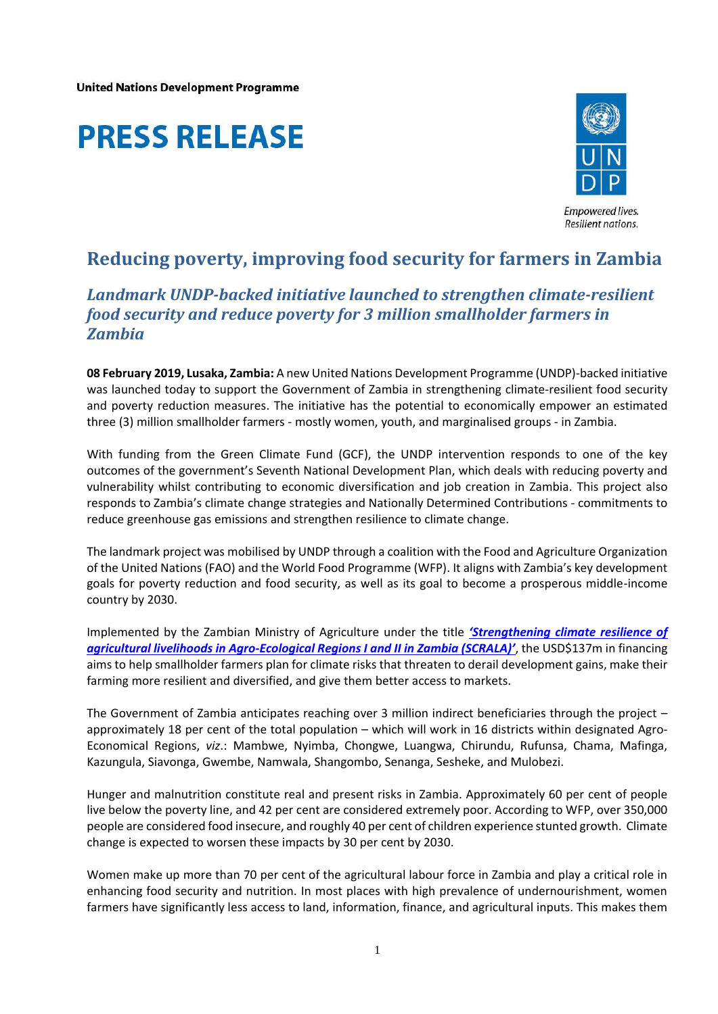**United Nations Development Programme** 

## **PRESS RELEASE**



## **Reducing poverty, improving food security for farmers in Zambia**

## *Landmark UNDP-backed initiative launched to strengthen climate-resilient food security and reduce poverty for 3 million smallholder farmers in Zambia*

**08 February 2019, Lusaka, Zambia:** A new United Nations Development Programme (UNDP)-backed initiative was launched today to support the Government of Zambia in strengthening climate-resilient food security and poverty reduction measures. The initiative has the potential to economically empower an estimated three (3) million smallholder farmers - mostly women, youth, and marginalised groups - in Zambia.

With funding from the Green Climate Fund (GCF), the UNDP intervention responds to one of the key outcomes of the government's Seventh National Development Plan, which deals with reducing poverty and vulnerability whilst contributing to economic diversification and job creation in Zambia. This project also responds to Zambia's climate change strategies and Nationally Determined Contributions - commitments to reduce greenhouse gas emissions and strengthen resilience to climate change.

The landmark project was mobilised by UNDP through a coalition with the Food and Agriculture Organization of the United Nations (FAO) and the World Food Programme (WFP). It aligns with Zambia's key development goals for poverty reduction and food security, as well as its goal to become a prosperous middle-income country by 2030.

Implemented by the Zambian Ministry of Agriculture under the title *'[Strengthening climate resilience of](https://www.adaptation-undp.org/projects/GCF-Zambia)  [agricultural livelihoods in Agro-Ecological Regions I and II in Zambia \(SCRALA\)](https://www.adaptation-undp.org/projects/GCF-Zambia)'*, the USD\$137m in financing aims to help smallholder farmers plan for climate risks that threaten to derail development gains, make their farming more resilient and diversified, and give them better access to markets.

The Government of Zambia anticipates reaching over 3 million indirect beneficiaries through the project – approximately 18 per cent of the total population – which will work in 16 districts within designated Agro-Economical Regions, *viz*.: Mambwe, Nyimba, Chongwe, Luangwa, Chirundu, Rufunsa, Chama, Mafinga, Kazungula, Siavonga, Gwembe, Namwala, Shangombo, Senanga, Sesheke, and Mulobezi.

Hunger and malnutrition constitute real and present risks in Zambia. Approximately 60 per cent of people live below the poverty line, and 42 per cent are considered extremely poor. According to WFP, over 350,000 people are considered food insecure, and roughly 40 per cent of children experience stunted growth. Climate change is expected to worsen these impacts by 30 per cent by 2030.

Women make up more than 70 per cent of the agricultural labour force in Zambia and play a critical role in enhancing food security and nutrition. In most places with high prevalence of undernourishment, women farmers have significantly less access to land, information, finance, and agricultural inputs. This makes them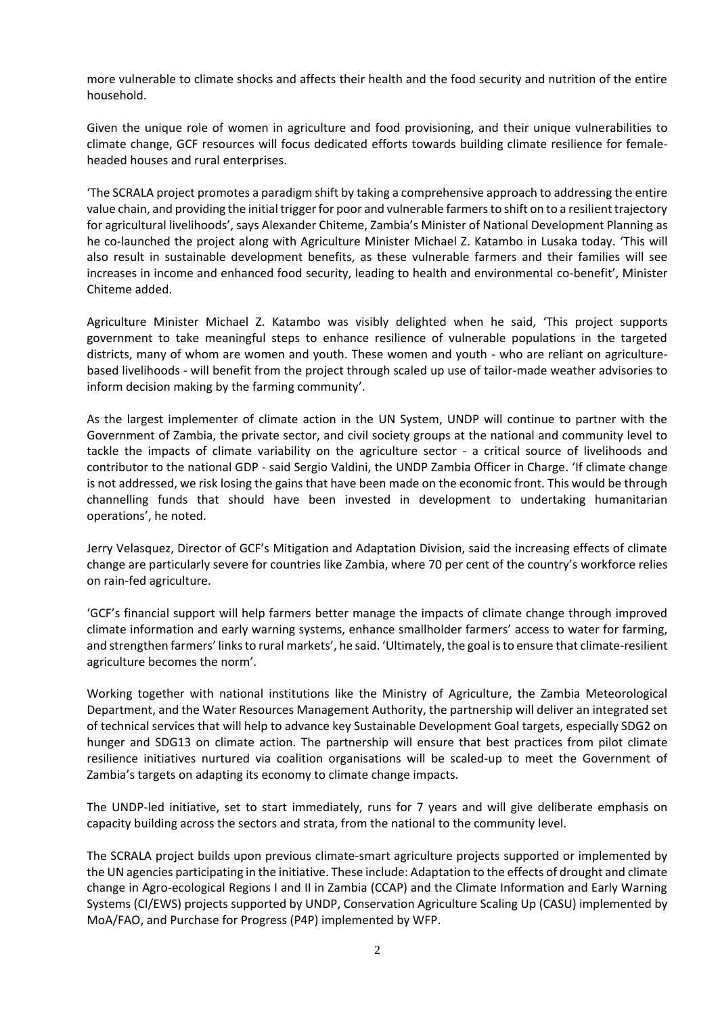more vulnerable to climate shocks and affects their health and the food security and nutrition of the entire household.

Given the unique role of women in agriculture and food provisioning, and their unique vulnerabilities to climate change, GCF resources will focus dedicated efforts towards building climate resilience for femaleheaded houses and rural enterprises.

'The SCRALA project promotes a paradigm shift by taking a comprehensive approach to addressing the entire value chain, and providing the initial trigger for poor and vulnerable farmers to shift on to a resilient trajectory for agricultural livelihoods', says Alexander Chiteme, Zambia's Minister of National Development Planning as he co-launched the project along with Agriculture Minister Michael Z. Katambo in Lusaka today. 'This will also result in sustainable development benefits, as these vulnerable farmers and their families will see increases in income and enhanced food security, leading to health and environmental co-benefit', Minister Chiteme added.

Agriculture Minister Michael Z. Katambo was visibly delighted when he said, 'This project supports government to take meaningful steps to enhance resilience of vulnerable populations in the targeted districts, many of whom are women and youth. These women and youth - who are reliant on agriculturebased livelihoods - will benefit from the project through scaled up use of tailor-made weather advisories to inform decision making by the farming community'.

As the largest implementer of climate action in the UN System, UNDP will continue to partner with the Government of Zambia, the private sector, and civil society groups at the national and community level to tackle the impacts of climate variability on the agriculture sector - a critical source of livelihoods and contributor to the national GDP - said Sergio Valdini, the UNDP Zambia Officer in Charge. 'If climate change is not addressed, we risk losing the gains that have been made on the economic front. This would be through channelling funds that should have been invested in development to undertaking humanitarian operations', he noted.

Jerry Velasquez, Director of GCF's Mitigation and Adaptation Division, said the increasing effects of climate change are particularly severe for countries like Zambia, where 70 per cent of the country's workforce relies on rain-fed agriculture.

'GCF's financial support will help farmers better manage the impacts of climate change through improved climate information and early warning systems, enhance smallholder farmers' access to water for farming, and strengthen farmers' links to rural markets', he said. 'Ultimately, the goal is to ensure that climate-resilient agriculture becomes the norm'.

Working together with national institutions like the Ministry of Agriculture, the Zambia Meteorological Department, and the Water Resources Management Authority, the partnership will deliver an integrated set of technical services that will help to advance key Sustainable Development Goal targets, especially SDG2 on hunger and SDG13 on climate action. The partnership will ensure that best practices from pilot climate resilience initiatives nurtured via coalition organisations will be scaled-up to meet the Government of Zambia's targets on adapting its economy to climate change impacts.

The UNDP-led initiative, set to start immediately, runs for 7 years and will give deliberate emphasis on capacity building across the sectors and strata, from the national to the community level.

The SCRALA project builds upon previous climate-smart agriculture projects supported or implemented by the UN agencies participating in the initiative. These include: Adaptation to the effects of drought and climate change in Agro-ecological Regions I and II in Zambia (CCAP) and the Climate Information and Early Warning Systems (CI/EWS) projects supported by UNDP, Conservation Agriculture Scaling Up (CASU) implemented by MoA/FAO, and Purchase for Progress (P4P) implemented by WFP.